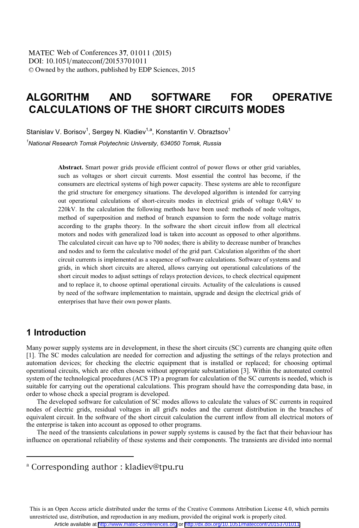# **ALGORITHM AND SOFTWARE FOR OPERATIVE CALCULATIONS OF THE SHORT CIRCUITS MODES**

Stanislav V. Borisov<sup>1</sup>, Sergey N. Kladiev<sup>1,a</sup>, Konstantin V. Obraztsov<sup>1</sup> *1 National Research Tomsk Polytechnic University, 634050 Tomsk, Russia*

> **Abstract.** Smart power grids provide efficient control of power flows or other grid variables, such as voltages or short circuit currents. Most essential the control has become, if the consumers are electrical systems of high power capacity. These systems are able to reconfigure the grid structure for emergency situations. The developed algorithm is intended for carrying out operational calculations of short-circuits modes in electrical grids of voltage 0,4kV to 220kV. In the calculation the following methods have been used: methods of node voltages, method of superposition and method of branch expansion to form the node voltage matrix according to the graphs theory. In the software the short circuit inflow from all electrical motors and nodes with generalized load is taken into account as opposed to other algorithms. The calculated circuit can have up to 700 nodes; there is ability to decrease number of branches and nodes and to form the calculative model of the grid part. Calculation algorithm of the short circuit currents is implemented as a sequence of software calculations. Software of systems and grids, in which short circuits are altered, allows carrying out operational calculations of the short circuit modes to adjust settings of relays protection devices, to check electrical equipment and to replace it, to choose optimal operational circuits. Actuality of the calculations is caused by need of the software implementation to maintain, upgrade and design the electrical grids of enterprises that have their own power plants.

### **1 Introduction**

 $\overline{a}$ 

Many power supply systems are in development, in these the short circuits (SC) currents are changing quite often [1]. The SC modes calculation are needed for correction and adjusting the settings of the relays protection and automation devices; for checking the electric equipment that is installed or replaced; for choosing optimal operational circuits, which are often chosen without appropriate substantiation [3]. Within the automated control system of the technological procedures (ACS TP) a program for calculation of the SC currents is needed, which is suitable for carrying out the operational calculations. This program should have the corresponding data base, in order to whose check a special program is developed.

The developed software for calculation of SC modes allows to calculate the values of SC currents in required nodes of electric grids, residual voltages in all grid's nodes and the current distribution in the branches of equivalent circuit. In the software of the short circuit calculation the current inflow from all electrical motors of the enterprise is taken into account as opposed to other programs.

The need of the transients calculations in power supply systems is caused by the fact that their behaviour has influence on operational reliability of these systems and their components. The transients are divided into normal

a Corresponding author : kladiev@tpu.ru

This is an Open Access article distributed under the terms of the Creative Commons Attribution License 4.0, which permits unrestricted use, distribution, and reproduction in any medium, provided the original work is properly cited.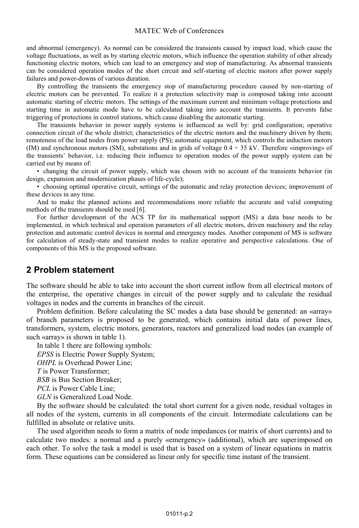#### MATEC Web of Conferences

and abnormal (emergency). As normal can be considered the transients caused by impact load, which cause the voltage fluctuations, as well as by starting electric motors, which influence the operation stability of other already functioning electric motors, which can lead to an emergency and stop of manufacturing. As abnormal transients can be considered operation modes of the short circuit and self-starting of electric motors after power supply failures and power-downs of various duration.

By controlling the transients the emergency stop of manufacturing procedure caused by non-starting of electric motors can be prevented. To realize it a protection selectivity map is composed taking into account automatic starting of electric motors. The settings of the maximum current and minimum voltage protections and starting time in automatic mode have to be calculated taking into account the transients. It prevents false triggering of protections in control stations, which cause disabling the automatic starting.

The transients behavior in power supply systems is influenced as well by: grid configuration; operative connection circuit of the whole district; characteristics of the electric motors and the machinery driven by them; remoteness of the load nodes from power supply (PS); automatic equipment, which controls the induction motors (IM) and synchronous motors (SM), substations and in grids of voltage 0.4 ÷ 35 kV. Therefore «improving» of the transients' behavior, i.e. reducing their influence to operation modes of the power supply system can be carried out by means of:

• changing the circuit of power supply, which was chosen with no account of the transients behavior (in design, expansion and modernization phases of life-cycle);

• choosing optimal operative circuit, settings of the automatic and relay protection devices; improvement of these devices in any time.

And to make the planned actions and recommendations more reliable the accurate and valid computing methods of the transients should be used [6].

For further development of the ACS TP for its mathematical support (MS) a data base needs to be implemented, in which technical and operation parameters of all electric motors, driven machinery and the relay protection and automatic control devices in normal and emergency modes. Another component of MS is software for calculation of steady-state and transient modes to realize operative and perspective calculations. One of components of this MS is the proposed software.

### **2 Problem statement**

The software should be able to take into account the short current inflow from all electrical motors of the enterprise, the operative changes in circuit of the power supply and to calculate the residual voltages in nodes and the currents in branches of the circuit.

Problem definition. Before calculating the SC modes a data base should be generated: an «array» of branch parameters is proposed to be generated, which contains initial data of power lines, transformers, system, electric motors, generators, reactors and generalized load nodes (an example of such «array» is shown in table 1).

In table 1 there are following symbols: *EPSS* is Electric Power Supply System;

*OHPL* is Overhead Power Line;

*T* is Power Transformer;

*BSB* is Bus Section Breaker;

*PCL* is Power Cable Line;

*GLN* is Generalized Load Node.

By the software should be calculated: the total short current for a given node, residual voltages in all nodes of the system, currents in all components of the circuit. Intermediate calculations can be fulfilled in absolute or relative units.

The used algorithm needs to form a matrix of node impedances (or matrix of short currents) and to calculate two modes: a normal and a purely «emergency» (additional), which are superimposed on each other. To solve the task a model is used that is based on a system of linear equations in matrix form. These equations can be considered as linear only for specific time instant of the transient.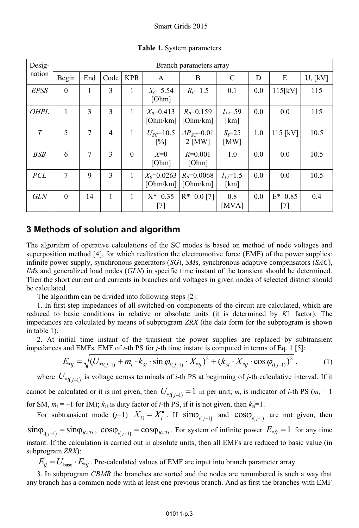| Desig-<br>nation | Branch parameters array |                |                |              |                                         |                                   |                       |     |                                   |         |  |
|------------------|-------------------------|----------------|----------------|--------------|-----------------------------------------|-----------------------------------|-----------------------|-----|-----------------------------------|---------|--|
|                  | Begin                   | End            | Code           | <b>KPR</b>   | $\mathsf{A}$                            | B                                 | C                     | D   | E                                 | U, [kV] |  |
| <b>EPSS</b>      | $\Omega$                | 1              | $\mathbf{3}$   | $\mathbf{1}$ | $X_c = 5.54$<br>[Ohm]                   | $R_C = 1.5$                       | 0.1                   | 0.0 | 115[kV]                           | 115     |  |
| OHPL             | $\mathbf{1}$            | $\mathbf{3}$   | $\mathbf{3}$   | $\mathbf{1}$ | $X_0 = 0.413$<br>[Ohm/km]               | $R_0 = 0.159$<br>[Ohm/km]         | $l_{13} = 59$<br>[km] | 0.0 | 0.0                               | 115     |  |
| T                | 5                       | $\overline{7}$ | $\overline{4}$ | 1            | $U_{\rm sc}$ =10.5<br>$\lceil\% \rceil$ | $\Delta P_{SC}$ =0.01<br>$2$ [MW] | $S_{r} = 25$<br>[MW]  | 1.0 | 115 $[kV]$                        | 10.5    |  |
| <b>BSB</b>       | 6                       | 7              | $\mathbf{3}$   | $\Omega$     | $X=0$<br>[Ohm]                          | $R=0.001$<br>[Ohm]                | 1.0                   | 0.0 | 0.0                               | 10.5    |  |
| <b>PCL</b>       | 7                       | 9              | $\mathbf{3}$   | 1            | $X_0 = 0.0263$<br>[Ohm/km]              | $R_0 = 0.0068$<br>[Ohm/km]        | $l_{13}=1.5$<br>[km]  | 0.0 | 0.0                               | 10.5    |  |
| <b>GLN</b>       | $\theta$                | 14             | $\mathbf{1}$   | 1            | $X^* = 0.35$<br>$[7]$                   | $R^* = 0.0$ [7]                   | 0.8<br>[MVA]          | 0.0 | $E^* = 0.85$<br>$\lceil 7 \rceil$ | 0.4     |  |

**Table 1.** System parameters

# **3 Methods of solution and algorithm**

The algorithm of operative calculations of the SC modes is based on method of node voltages and superposition method [4], for which realization the electromotive force (EMF) of the power supplies: infinite power supply, synchronous generators (*SG*), *SM*s, synchronous adaptive compensators (*SAC*), *IM*s and generalized load nodes (*GLN*) in specific time instant of the transient should be determined. Then the short current and currents in branches and voltages in given nodes of selected district should be calculated.

The algorithm can be divided into following steps [2]:

1. In first step impedances of all switched-on components of the circuit are calculated, which are reduced to basic conditions in relative or absolute units (it is determined by *K*1 factor). The impedances are calculated by means of subprogram *ZRX* (the data form for the subprogram is shown in table 1).

2. At initial time instant of the transient the power supplies are replaced by subtransient impedances and EMFs. EMF of *i*-th PS for *j*-th time instant is computed in terms of Eq. 1 [5]:

$$
E_{*_{ij}} = \sqrt{\left(U_{*_{i(j-1)}} + m_i \cdot k_{3i} \cdot \sin \varphi_{i(j-1)} \cdot X_{*_{ij}}\right)^2 + \left(k_{3i} \cdot X_{*_{ij}} \cdot \cos \varphi_{i(j-1)}\right)^2},\tag{1}
$$

where  $U_{\ast i(j-1)}$  is voltage across terminals of *i*-th PS at beginning of *j*-th calculative interval. If it cannot be calculated or it is not given, then  $U_{*_{i(j-1)}} = 1$  in per unit;  $m_i$  is indicator of *i*-th PS ( $m_i = 1$ )

for SM,  $m_i = -1$  for IM);  $k_{si}$  is duty factor of *i*-th PS, if it is not given, then  $k_{si} = 1$ .

For subtransient mode  $(j=1)$   $X_{i1} = X_i''$ . If  $\sin \varphi_{i(j-1)}$  and  $\cos \varphi_{i(j-1)}$  are not given, then  $\sin \varphi_{i(j-1)} = \sin \varphi_{RATi}$ ,  $\cos \varphi_{i(j-1)} = \cos \varphi_{RATi}$ . For system of infinite power  $E_{*\tilde{N}} = 1$  for any time instant. If the calculation is carried out in absolute units, then all EMFs are reduced to basic value (in subprogram *ZRX*):

 $E_{ii} = U_{base} \cdot E_{*ii}$ . Pre-calculated values of EMF are input into branch parameter array.

3. In subprogram *СВМR* the branches are sorted and the nodes are renumbered is such a way that any branch has a common node with at least one previous branch. And as first the branches with EMF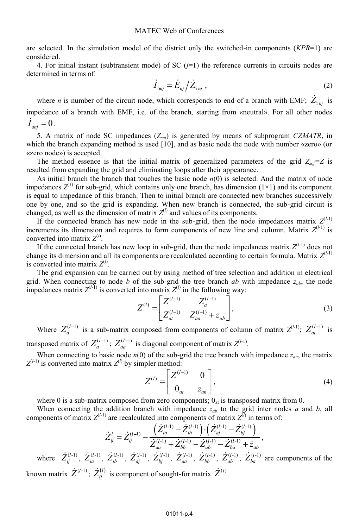are selected. In the simulation model of the district only the switched-in components (*KРR*=1) are considered.

4. For initial instant (subtransient mode) of SC  $(j=1)$  the reference currents in circuits nodes are determined in terms of:

$$
\dot{I}_{\delta nj} = \dot{E}_{nj} / \dot{Z}_{i\,nj} \,, \tag{2}
$$

where *n* is number of the circuit node, which corresponds to end of a branch with EMF;  $Z_{i_{ni}}$  is

impedance of a branch with EMF, i.e. of the branch, starting from «neutral». For all other nodes  $I_{\delta m} = 0$ .

5. A matrix of node SC impedances ( $Z_{\text{sci}}$ ) is generated by means of subprogram *CZMATR*, in which the branch expanding method is used [10], and as basic node the node with number «zero» (or «zero node») is accepted.

The method essence is that the initial matrix of generalized parameters of the grid  $Z_{\text{sc}}=Z$  is resulted from expanding the grid and eliminating loops after their appearance.

As initial branch the branch that touches the basic node  $n(0)$  is selected. And the matrix of node impedances  $Z^{(1)}$  for sub-grid, which contains only one branch, has dimension ( $1\times1$ ) and its component is equal to impedance of this branch. Then to initial branch are connected new branches successively one by one, and so the grid is expanding. When new branch is connected, the sub-grid circuit is changed, as well as the dimension of matrix  $Z^{(l)}$  and values of its components.

If the connected branch has new node in the sub-grid, then the node impedances matrix  $Z^{(l-1)}$ increments its dimension and requires to form components of new line and column. Matrix  $Z^{(l-1)}$  is converted into matrix *Z*(*l*) .

If the connected branch has new loop in sub-grid, then the node impedances matrix  $Z^{(l-1)}$  does not change its dimension and all its components are recalculated according to certain formula. Matrix  $Z^{(l-1)}$ is converted into matrix  $Z^{(l)}$ .

The grid expansion can be carried out by using method of tree selection and addition in electrical grid. When connecting to node *b* of the sub-grid the tree branch *ab* with impedance *zab*, the node impedances matrix  $Z^{(l)}$  is converted into matrix  $Z^{(l)}$  in the following way:

$$
Z^{(l)} = \begin{bmatrix} Z^{(l-1)} & Z_a^{(l-1)} \\ Z_{at}^{(l-1)} & Z_{aa}^{(l-1)} + z_{ab} \end{bmatrix},
$$
(3)

Where  $Z_a^{(l-1)}$  is a sub-matrix composed from components of column of matrix  $Z_{at}^{(l-1)}$ ;  $Z_{at}^{(l-1)}$  is transposed matrix of  $Z_a^{(l-1)}$ ;  $Z_{aa}^{(l-1)}$  is diagonal component of matrix  $Z_{a}^{(l-1)}$ .

When connecting to basic node  $n(0)$  of the sub-grid the tree branch with impedance  $z_{an}$ , the matrix  $Z^{(l-1)}$  is converted into matrix  $Z^{(l)}$  by simpler method:

$$
Z^{(l)} = \begin{bmatrix} Z^{(l-1)} & 0 \\ 0_{at} & z_{an} \end{bmatrix},\tag{4}
$$

where 0 is a sub-matrix composed from zero components;  $0_{at}$  is transposed matrix from 0.

When connecting the addition branch with impedance  $z_{ab}$  to the grid inter nodes  $a$  and  $b$ , all components of matrix  $Z^{(l-1)}$  are recalculated into components of matrix  $Z^{(l)}$  in terms of:

$$
\dot{Z}_{ij}^{l} = \dot{Z}_{ij}^{(l-1)} - \frac{\left(\dot{Z}_{ia}^{(l-1)} - \dot{Z}_{ib}^{(l-1)}\right)\cdot\left(\dot{Z}_{aj}^{(l-1)} - \dot{Z}_{bj}^{(l-1)}\right)}{\dot{Z}_{aa}^{(l-1)} + \dot{Z}_{bb}^{(l-1)} - \dot{Z}_{ab}^{(l-1)} - \dot{Z}_{ba}^{(l-1)} + \dot{Z}_{ab}},
$$

where  $\dot{Z}_{ij}^{(l-1)}$ ,  $\dot{Z}_{ia}^{(l-1)}$ ,  $\dot{Z}_{ib}^{(l-1)}$ ,  $\dot{Z}_{aj}^{(l-1)}$ ,  $\dot{Z}_{bj}^{(l-1)}$ ,  $\dot{Z}_{aa}^{(l-1)}$ ,  $\dot{Z}_{bb}^{(l-1)}$ ,  $\dot{Z}_{ab}^{(l-1)}$ ,  $\dot{Z}_{ba}^{(l-1)}$  are components of the

known matrix  $\dot{Z}^{(l-1)}$ ;  $\dot{Z}_{ij}^{(l)}$  is component of sought-for matrix  $\dot{Z}^{(l)}$ .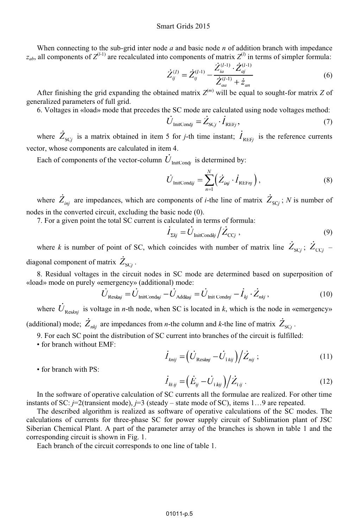When connecting to the sub-grid inter node *a* and basic node *n* of addition branch with impedance  $z_{ab}$ , all components of  $Z^{(l-1)}$  are recalculated into components of matrix  $Z^{(l)}$  in terms of simpler formula:

$$
\dot{Z}_{ij}^{(l)} = \dot{Z}_{ij}^{(l-1)} - \frac{\dot{Z}_{ia}^{(l-1)} \cdot \dot{Z}_{aj}^{(l-1)}}{\dot{Z}_{aa}^{(l-1)} + \dot{z}_{an}}
$$
(6)

After finishing the grid expanding the obtained matrix  $Z^{(m)}$  will be equal to sought-for matrix  $Z$  of generalized parameters of full grid.

6. Voltages in «load» mode that precedes the SC mode are calculated using node voltages method:

$$
\dot{U}_{\text{InitCond}j} = \dot{Z}_{\text{SC}j} \cdot \dot{I}_{\text{REF}j},\tag{7}
$$

where  $\dot{Z}_{SCj}$  is a matrix obtained in item 5 for *j*-th time instant;  $\dot{I}_{REFj}$  is the reference currents vector, whose components are calculated in item 4.

Each of components of the vector-column  $\dot{U}_{\text{InitCond}}$  is determined by:

$$
\dot{U}_{\text{InitCondij}} = \sum_{n=1}^{N} \left( \dot{Z}_{inj} \cdot \dot{I}_{\text{REFnj}} \right),\tag{8}
$$

where  $Z_{ini}$  are impedances, which are components of *i*-the line of matrix  $Z_{SC}$ ; *N* is number of nodes in the converted circuit, excluding the basic node (0).

7. For a given point the total SC current is calculated in terms of formula:

$$
\dot{I}_{\Sigma kj} = \dot{U}_{\text{InitCond}} / \dot{Z}_{\text{CC}j} \,,\tag{9}
$$

where *k* is number of point of SC, which coincides with number of matrix line  $\dot{Z}_{SC}$ ;  $\dot{Z}_{CC}$ diagonal component of matrix  $Z_{SC}$ .

8. Residual voltages in the circuit nodes in SC mode are determined based on superposition of «load» mode on purely «emergency» (additional) mode:

$$
\dot{U}_{\text{Reskny}} = \dot{U}_{\text{InitConday}} - \dot{U}_{\text{Addkny}} = \dot{U}_{\text{Init Conday}} - \dot{I}_{kj} \cdot \dot{Z}_{nkj},\tag{10}
$$

where  $\dot{U}_{\text{Reskni}}$  is voltage in *n*-th node, when SC is located in *k*, which is the node in «emergency»

(additional) mode;  $\overline{Z}_{nkj}$  are impedances from *n*-the column and *k*-the line of matrix  $\overline{Z}_{SCj}$ .

9. For each SC point the distribution of SC current into branches of the circuit is fulfilled:

• for branch without EMF:

$$
\dot{I}_{knij} = \left(\dot{U}_{\text{Resknj}} - \dot{U}_{1kij}\right) / \dot{Z}_{nij} ; \qquad (11)
$$

• for branch with PS:

$$
\dot{I}_{kij} = \left(\dot{E}_{ij} - \dot{U}_{i\,kij}\right) / \dot{Z}_{i\,ij} \ . \tag{12}
$$

In the software of operative calculation of SC currents all the formulae are realized. For other time instants of SC: *j*=2(transient mode), *j*=3 (steady – state mode of SC), items 1…9 are repeated.

The described algorithm is realized as software of operative calculations of the SC modes. The calculations of currents for three-phase SC for power supply circuit of Sublimation plant of JSC Siberian Chemical Plant. A part of the parameter array of the branches is shown in table 1 and the corresponding circuit is shown in Fig. 1.

Each branch of the circuit corresponds to one line of table 1.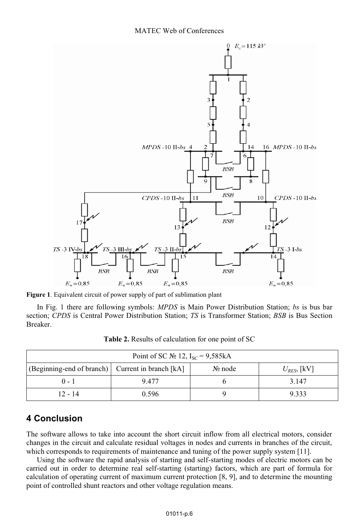

**Figure 1**. Equivalent circuit of power supply of part of sublimation plant

In Fig. 1 there are following symbols: *MPDS* is Main Power Distribution Station; *bs* is bus bar section; *CPDS* is Central Power Distribution Station; *TS* is Transformer Station; *BSB* is Bus Section Breaker.

| Point of SC $\text{Ne } 12$ , $I_{\text{SC}} = 9,585 \text{kA}$ |       |         |                  |  |  |  |  |  |
|-----------------------------------------------------------------|-------|---------|------------------|--|--|--|--|--|
| (Beginning-end of branch) Current in branch [kA]                |       | N∘ node | $U_{RES}$ , [kV] |  |  |  |  |  |
| $0 - 1$                                                         | 9.477 |         | 3.147            |  |  |  |  |  |
| $12 - 14$                                                       | 0.596 |         | 9.333            |  |  |  |  |  |

**Table 2.** Results of calculation for one point of SC

## **4 Conclusion**

The software allows to take into account the short circuit inflow from all electrical motors, consider changes in the circuit and calculate residual voltages in nodes and currents in branches of the circuit, which corresponds to requirements of maintenance and tuning of the power supply system [11].

Using the software the rapid analysis of starting and self-starting modes of electric motors can be carried out in order to determine real self-starting (starting) factors, which are part of formula for calculation of operating current of maximum current protection [8, 9], and to determine the mounting point of controlled shunt reactors and other voltage regulation means.